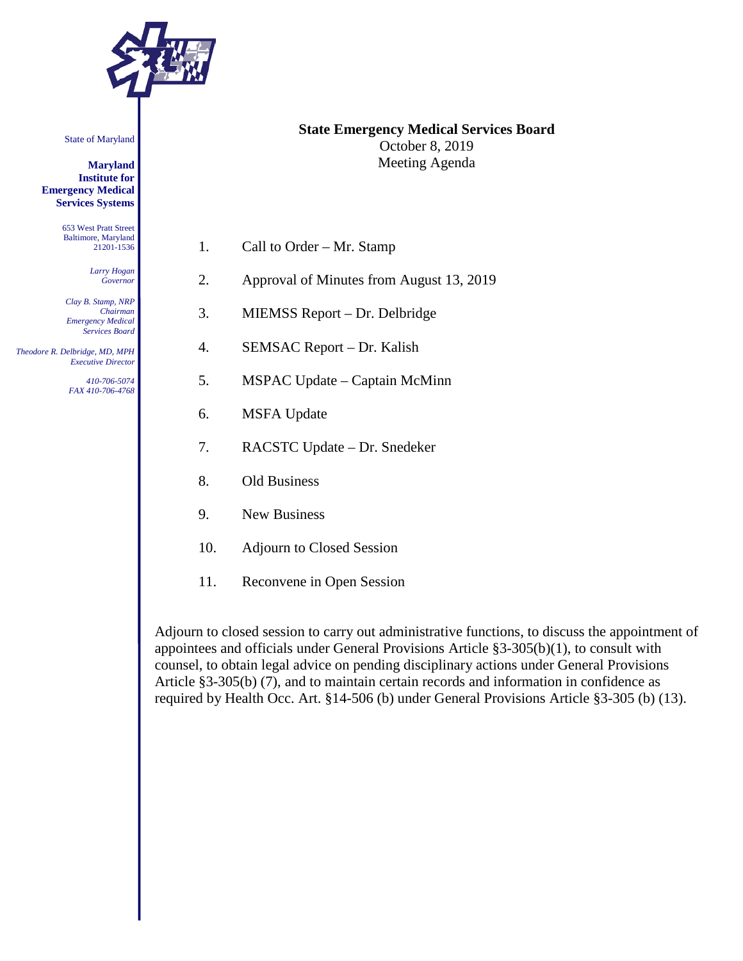

State of Maryland

**Maryland Institute for Emergency Medical Services Systems**

> 653 West Pratt Street Baltimore, Maryland 21201-1536

> > *Larry Hogan Governor*

*Clay B. Stamp, NRP Chairman Emergency Medical Services Board*

 *Theodore R. Delbridge, MD, MPH Executive Director*

> *410-706-5074 FAX 410-706-4768*

#### **State Emergency Medical Services Board** October 8, 2019 Meeting Agenda

- 1. Call to Order Mr. Stamp
- 2. Approval of Minutes from August 13, 2019
- 3. MIEMSS Report Dr. Delbridge
- 4. SEMSAC Report Dr. Kalish
- 5. MSPAC Update Captain McMinn
- 6. MSFA Update
- 7. RACSTC Update Dr. Snedeker
- 8. Old Business
- 9. New Business
- 10. Adjourn to Closed Session
- 11. Reconvene in Open Session

Adjourn to closed session to carry out administrative functions, to discuss the appointment of appointees and officials under General Provisions Article §3-305(b)(1), to consult with counsel, to obtain legal advice on pending disciplinary actions under General Provisions Article §3-305(b) (7), and to maintain certain records and information in confidence as required by Health Occ. Art. §14-506 (b) under General Provisions Article §3-305 (b) (13).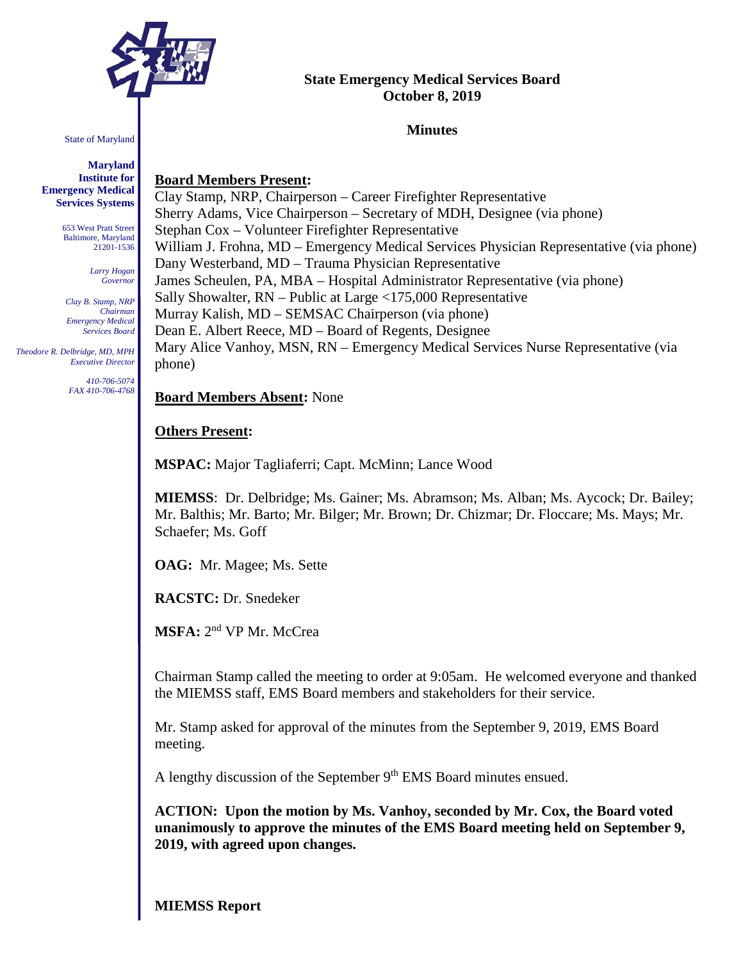

#### State of Maryland

**Maryland Institute for Emergency Medical Services Systems**

> 653 West Pratt Street Baltimore, Maryland 21201-1536

> > *Larry Hogan Governor*

*Clay B. Stamp, NRP Chairman Emergency Medical Services Board*

 *Theodore R. Delbridge, MD, MPH Executive Director*

> *410-706-5074 FAX 410-706-4768*

# **Board Members Present:**

Clay Stamp, NRP, Chairperson – Career Firefighter Representative Sherry Adams, Vice Chairperson – Secretary of MDH, Designee (via phone) Stephan Cox – Volunteer Firefighter Representative William J. Frohna, MD – Emergency Medical Services Physician Representative (via phone) Dany Westerband, MD – Trauma Physician Representative James Scheulen, PA, MBA – Hospital Administrator Representative (via phone) Sally Showalter, RN – Public at Large <175,000 Representative Murray Kalish, MD – SEMSAC Chairperson (via phone) Dean E. Albert Reece, MD – Board of Regents, Designee Mary Alice Vanhoy, MSN, RN – Emergency Medical Services Nurse Representative (via phone)

**State Emergency Medical Services Board October 8, 2019**

**Minutes**

**Board Members Absent:** None

### **Others Present:**

**MSPAC:** Major Tagliaferri; Capt. McMinn; Lance Wood

**MIEMSS**: Dr. Delbridge; Ms. Gainer; Ms. Abramson; Ms. Alban; Ms. Aycock; Dr. Bailey; Mr. Balthis; Mr. Barto; Mr. Bilger; Mr. Brown; Dr. Chizmar; Dr. Floccare; Ms. Mays; Mr. Schaefer; Ms. Goff

**OAG:** Mr. Magee; Ms. Sette

**RACSTC:** Dr. Snedeker

**MSFA:** 2nd VP Mr. McCrea

Chairman Stamp called the meeting to order at 9:05am. He welcomed everyone and thanked the MIEMSS staff, EMS Board members and stakeholders for their service.

Mr. Stamp asked for approval of the minutes from the September 9, 2019, EMS Board meeting.

A lengthy discussion of the September 9<sup>th</sup> EMS Board minutes ensued.

**ACTION: Upon the motion by Ms. Vanhoy, seconded by Mr. Cox, the Board voted unanimously to approve the minutes of the EMS Board meeting held on September 9, 2019, with agreed upon changes.**

**MIEMSS Report**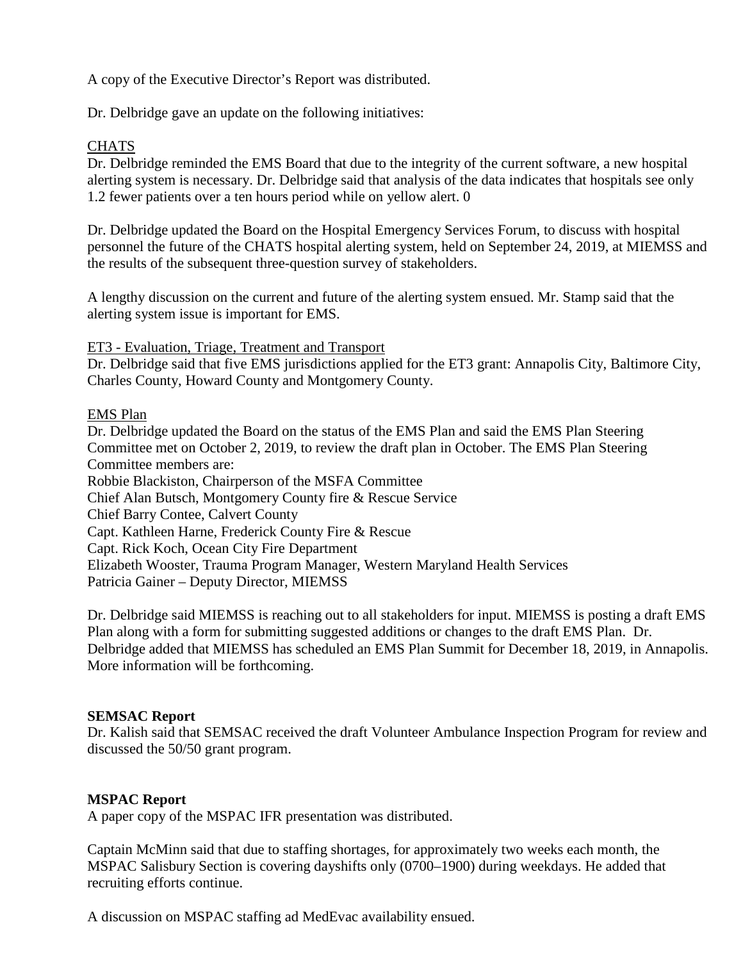A copy of the Executive Director's Report was distributed.

Dr. Delbridge gave an update on the following initiatives:

## **CHATS**

Dr. Delbridge reminded the EMS Board that due to the integrity of the current software, a new hospital alerting system is necessary. Dr. Delbridge said that analysis of the data indicates that hospitals see only 1.2 fewer patients over a ten hours period while on yellow alert. 0

Dr. Delbridge updated the Board on the Hospital Emergency Services Forum, to discuss with hospital personnel the future of the CHATS hospital alerting system, held on September 24, 2019, at MIEMSS and the results of the subsequent three-question survey of stakeholders.

A lengthy discussion on the current and future of the alerting system ensued. Mr. Stamp said that the alerting system issue is important for EMS.

ET3 - Evaluation, Triage, Treatment and Transport

Dr. Delbridge said that five EMS jurisdictions applied for the ET3 grant: Annapolis City, Baltimore City, Charles County, Howard County and Montgomery County.

#### EMS Plan

Dr. Delbridge updated the Board on the status of the EMS Plan and said the EMS Plan Steering Committee met on October 2, 2019, to review the draft plan in October. The EMS Plan Steering Committee members are: Robbie Blackiston, Chairperson of the MSFA Committee Chief Alan Butsch, Montgomery County fire & Rescue Service Chief Barry Contee, Calvert County Capt. Kathleen Harne, Frederick County Fire & Rescue Capt. Rick Koch, Ocean City Fire Department Elizabeth Wooster, Trauma Program Manager, Western Maryland Health Services Patricia Gainer – Deputy Director, MIEMSS

Dr. Delbridge said MIEMSS is reaching out to all stakeholders for input. MIEMSS is posting a draft EMS Plan along with a form for submitting suggested additions or changes to the draft EMS Plan. Dr. Delbridge added that MIEMSS has scheduled an EMS Plan Summit for December 18, 2019, in Annapolis. More information will be forthcoming.

#### **SEMSAC Report**

Dr. Kalish said that SEMSAC received the draft Volunteer Ambulance Inspection Program for review and discussed the 50/50 grant program.

#### **MSPAC Report**

A paper copy of the MSPAC IFR presentation was distributed.

Captain McMinn said that due to staffing shortages, for approximately two weeks each month, the MSPAC Salisbury Section is covering dayshifts only (0700–1900) during weekdays. He added that recruiting efforts continue.

A discussion on MSPAC staffing ad MedEvac availability ensued.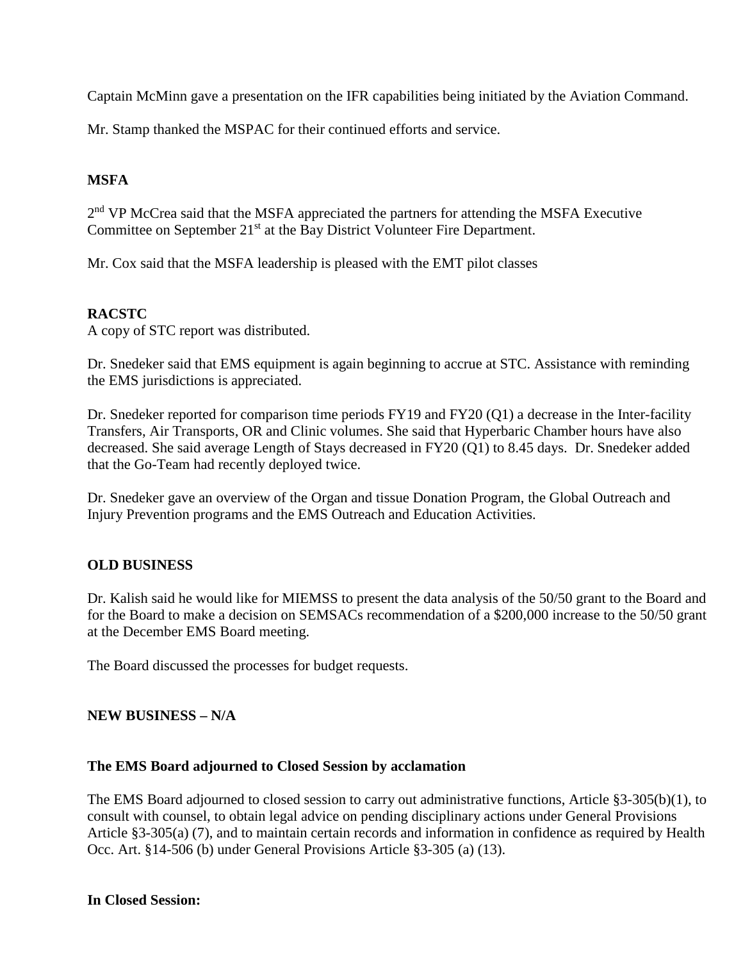Captain McMinn gave a presentation on the IFR capabilities being initiated by the Aviation Command.

Mr. Stamp thanked the MSPAC for their continued efforts and service.

# **MSFA**

2<sup>nd</sup> VP McCrea said that the MSFA appreciated the partners for attending the MSFA Executive Committee on September 21<sup>st</sup> at the Bay District Volunteer Fire Department.

Mr. Cox said that the MSFA leadership is pleased with the EMT pilot classes

# **RACSTC**

A copy of STC report was distributed.

Dr. Snedeker said that EMS equipment is again beginning to accrue at STC. Assistance with reminding the EMS jurisdictions is appreciated.

Dr. Snedeker reported for comparison time periods FY19 and FY20 (Q1) a decrease in the Inter-facility Transfers, Air Transports, OR and Clinic volumes. She said that Hyperbaric Chamber hours have also decreased. She said average Length of Stays decreased in FY20 (Q1) to 8.45 days. Dr. Snedeker added that the Go-Team had recently deployed twice.

Dr. Snedeker gave an overview of the Organ and tissue Donation Program, the Global Outreach and Injury Prevention programs and the EMS Outreach and Education Activities.

# **OLD BUSINESS**

Dr. Kalish said he would like for MIEMSS to present the data analysis of the 50/50 grant to the Board and for the Board to make a decision on SEMSACs recommendation of a \$200,000 increase to the 50/50 grant at the December EMS Board meeting.

The Board discussed the processes for budget requests.

#### **NEW BUSINESS – N/A**

#### **The EMS Board adjourned to Closed Session by acclamation**

The EMS Board adjourned to closed session to carry out administrative functions, Article §3-305(b)(1), to consult with counsel, to obtain legal advice on pending disciplinary actions under General Provisions Article §3-305(a) (7), and to maintain certain records and information in confidence as required by Health Occ. Art. §14-506 (b) under General Provisions Article §3-305 (a) (13).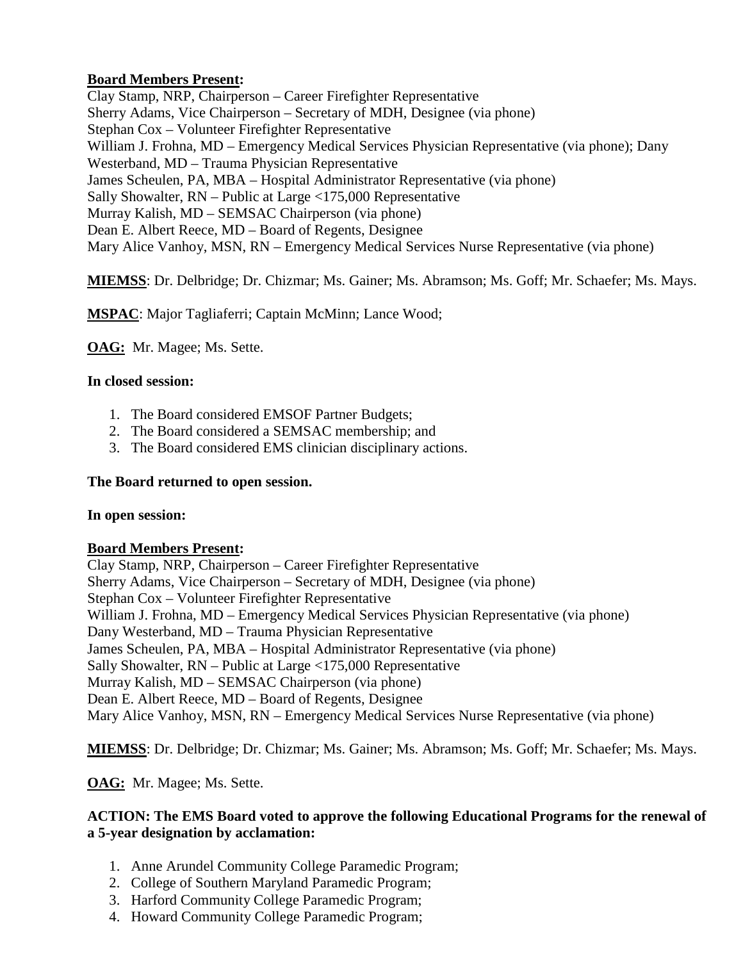# **Board Members Present:**

Clay Stamp, NRP, Chairperson – Career Firefighter Representative Sherry Adams, Vice Chairperson – Secretary of MDH, Designee (via phone) Stephan Cox – Volunteer Firefighter Representative William J. Frohna, MD – Emergency Medical Services Physician Representative (via phone); Dany Westerband, MD – Trauma Physician Representative James Scheulen, PA, MBA – Hospital Administrator Representative (via phone) Sally Showalter, RN – Public at Large <175,000 Representative Murray Kalish, MD – SEMSAC Chairperson (via phone) Dean E. Albert Reece, MD – Board of Regents, Designee Mary Alice Vanhoy, MSN, RN – Emergency Medical Services Nurse Representative (via phone)

**MIEMSS**: Dr. Delbridge; Dr. Chizmar; Ms. Gainer; Ms. Abramson; Ms. Goff; Mr. Schaefer; Ms. Mays.

**MSPAC**: Major Tagliaferri; Captain McMinn; Lance Wood;

**OAG:** Mr. Magee; Ms. Sette.

### **In closed session:**

- 1. The Board considered EMSOF Partner Budgets;
- 2. The Board considered a SEMSAC membership; and
- 3. The Board considered EMS clinician disciplinary actions.

#### **The Board returned to open session.**

#### **In open session:**

#### **Board Members Present:**

Clay Stamp, NRP, Chairperson – Career Firefighter Representative Sherry Adams, Vice Chairperson – Secretary of MDH, Designee (via phone) Stephan Cox – Volunteer Firefighter Representative William J. Frohna, MD – Emergency Medical Services Physician Representative (via phone) Dany Westerband, MD – Trauma Physician Representative James Scheulen, PA, MBA – Hospital Administrator Representative (via phone) Sally Showalter, RN – Public at Large <175,000 Representative Murray Kalish, MD – SEMSAC Chairperson (via phone) Dean E. Albert Reece, MD – Board of Regents, Designee Mary Alice Vanhoy, MSN, RN – Emergency Medical Services Nurse Representative (via phone)

**MIEMSS**: Dr. Delbridge; Dr. Chizmar; Ms. Gainer; Ms. Abramson; Ms. Goff; Mr. Schaefer; Ms. Mays.

**OAG:** Mr. Magee; Ms. Sette.

# **ACTION: The EMS Board voted to approve the following Educational Programs for the renewal of a 5-year designation by acclamation:**

- 1. Anne Arundel Community College Paramedic Program;
- 2. College of Southern Maryland Paramedic Program;
- 3. Harford Community College Paramedic Program;
- 4. Howard Community College Paramedic Program;